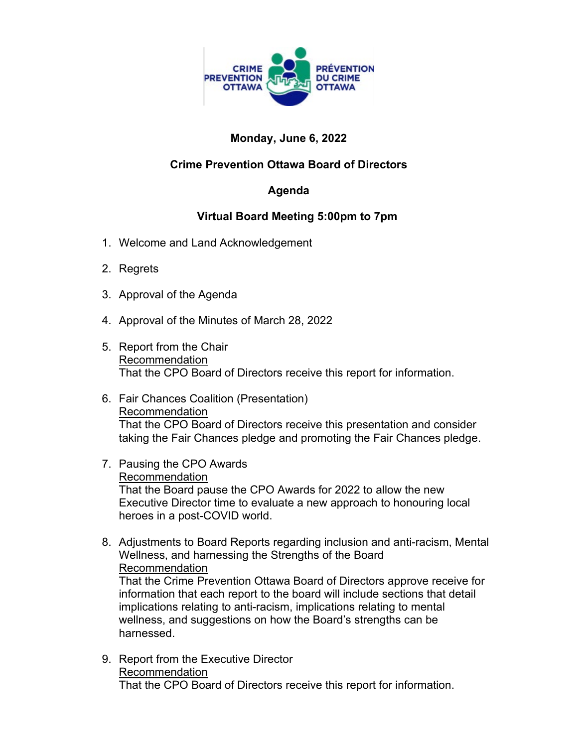

# **Monday, June 6, 2022**

## **Crime Prevention Ottawa Board of Directors**

#### **Agenda**

#### **Virtual Board Meeting 5:00pm to 7pm**

- 1. Welcome and Land Acknowledgement
- 2. Regrets
- 3. Approval of the Agenda
- 4. Approval of the Minutes of March 28, 2022
- 5. Report from the Chair Recommendation That the CPO Board of Directors receive this report for information.
- 6. Fair Chances Coalition (Presentation) Recommendation That the CPO Board of Directors receive this presentation and consider taking the Fair Chances pledge and promoting the Fair Chances pledge.
- 7. Pausing the CPO Awards Recommendation That the Board pause the CPO Awards for 2022 to allow the new Executive Director time to evaluate a new approach to honouring local heroes in a post-COVID world.
- 8. Adjustments to Board Reports regarding inclusion and anti-racism, Mental Wellness, and harnessing the Strengths of the Board Recommendation

That the Crime Prevention Ottawa Board of Directors approve receive for information that each report to the board will include sections that detail implications relating to anti-racism, implications relating to mental wellness, and suggestions on how the Board's strengths can be harnessed.

9. Report from the Executive Director Recommendation That the CPO Board of Directors receive this report for information.